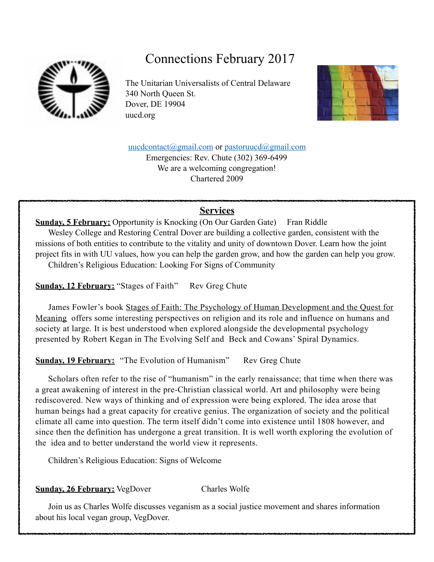

## Connections February 2017

The Unitarian Universalists of Central Delaware 340 North Queen St. Dover, DE 19904 uucd.org



[uucdcontact@gmail.com](mailto:uucdcontact@gmail.com) or [pastoruucd@gmail.com](mailto:pastoruucd@gmail.com) Emergencies: Rev. Chute (302) 369-6499

> We are a welcoming congregation! Chartered 2009

## **Services**

**Sunday, 5 February:** Opportunity is Knocking (On Our Garden Gate) Fran Riddle Wesley College and Restoring Central Dover are building a collective garden, consistent with the missions of both entities to contribute to the vitality and unity of downtown Dover. Learn how the joint project fits in with UU values, how you can help the garden grow, and how the garden can help you grow. Children's Religious Education: Looking For Signs of Community

**Sunday, 12 February:** "Stages of Faith" Rev Greg Chute

 James Fowler's book Stages of Faith: The Psychology of Human Development and the Quest for Meaning offers some interesting perspectives on religion and its role and influence on humans and society at large. It is best understood when explored alongside the developmental psychology presented by Robert Kegan in The Evolving Self and Beck and Cowans' Spiral Dynamics.

**Sunday, 19 February:** "The Evolution of Humanism" Rev Greg Chute

 Scholars often refer to the rise of "humanism" in the early renaissance; that time when there was a great awakening of interest in the pre-Christian classical world. Art and philosophy were being rediscovered. New ways of thinking and of expression were being explored. The idea arose that human beings had a great capacity for creative genius. The organization of society and the political climate all came into question. The term itself didn't come into existence until 1808 however, and since then the definition has undergone a great transition. It is well worth exploring the evolution of the idea and to better understand the world view it represents.

Children's Religious Education: Signs of Welcome

**Sunday, 26 February:** VegDover Charles Wolfe

 Join us as Charles Wolfe discusses veganism as a social justice movement and shares information about his local vegan group, VegDover.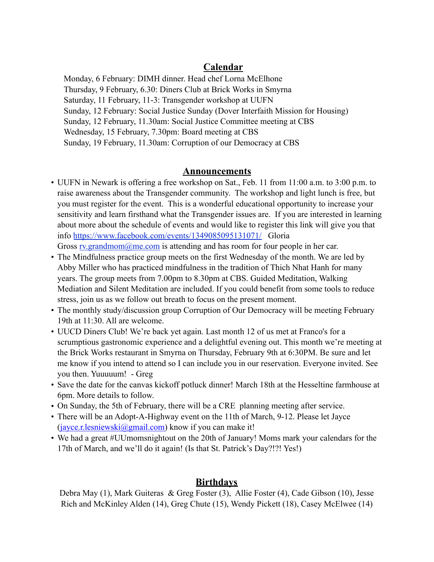## **Calendar**

Monday, 6 February: DIMH dinner. Head chef Lorna McElhone Thursday, 9 February, 6.30: Diners Club at Brick Works in Smyrna Saturday, 11 February, 11-3: Transgender workshop at UUFN Sunday, 12 February: Social Justice Sunday (Dover Interfaith Mission for Housing) Sunday, 12 February, 11.30am: Social Justice Committee meeting at CBS Wednesday, 15 February, 7.30pm: Board meeting at CBS Sunday, 19 February, 11.30am: Corruption of our Democracy at CBS

### **Announcements**

- UUFN in Newark is offering a free workshop on Sat., Feb. 11 from 11:00 a.m. to 3:00 p.m. to raise awareness about the Transgender community. The workshop and light lunch is free, but you must register for the event. This is a wonderful educational opportunity to increase your sensitivity and learn firsthand what the Transgender issues are. If you are interested in learning about more about the schedule of events and would like to register this link will give you that info [https://www.facebook.com/events/1349085095131071/](https://www.google.com/url?q=https%3A%2F%2Fwww.facebook.com%2Fevents%2F1349085095131071%2F&sa=D&sntz=1&usg=AFQjCNE-wiyl5mgzrGmaK15PwCwGxmIhhw) Gloria Gross rv.grandmom $@$ me.com is attending and has room for four people in her car.
- The Mindfulness practice group meets on the first Wednesday of the month. We are led by Abby Miller who has practiced mindfulness in the tradition of Thich Nhat Hanh for many years. The group meets from 7.00pm to 8.30pm at CBS. Guided Meditation, Walking Mediation and Silent Meditation are included. If you could benefit from some tools to reduce stress, join us as we follow out breath to focus on the present moment.
- The monthly study/discussion group Corruption of Our Democracy will be meeting February 19th at 11:30. All are welcome.
- UUCD Diners Club! We're back yet again. Last month 12 of us met at Franco's for a scrumptious gastronomic experience and a delightful evening out. This month we're meeting at the Brick Works restaurant in Smyrna on Thursday, February 9th at 6:30PM. Be sure and let me know if you intend to attend so I can include you in our reservation. Everyone invited. See you then. Yuuuuum! - Greg
- Save the date for the canvas kickoff potluck dinner! March 18th at the Hesseltine farmhouse at 6pm. More details to follow.
- On Sunday, the 5th of February, there will be a CRE planning meeting after service.
- There will be an Adopt-A-Highway event on the 11th of March, 9-12. Please let Jayce  $(iayce.r. lesniewski@gmail.com)$  know if you can make it!
- We had a great #UUmomsnightout on the 20th of January! Moms mark your calendars for the 17th of March, and we'll do it again! (Is that St. Patrick's Day?!?! Yes!)

## **Birthdays**

Debra May (1), Mark Guiteras & Greg Foster (3), Allie Foster (4), Cade Gibson (10), Jesse Rich and McKinley Alden (14), Greg Chute (15), Wendy Pickett (18), Casey McElwee (14)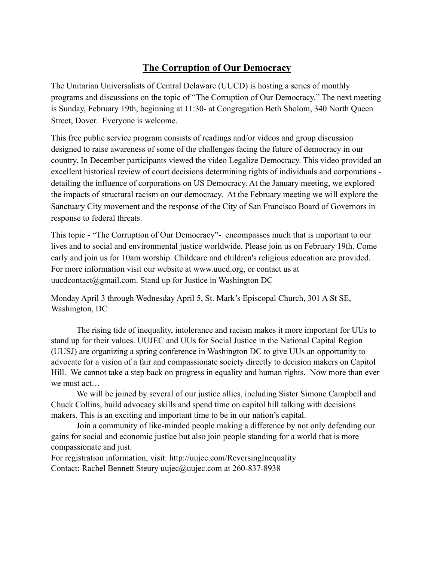## **The Corruption of Our Democracy**

The Unitarian Universalists of Central Delaware (UUCD) is hosting a series of monthly programs and discussions on the topic of "The Corruption of Our Democracy." The next meeting is Sunday, February 19th, beginning at 11:30- at Congregation Beth Sholom, 340 North Queen Street, Dover. Everyone is welcome.

This free public service program consists of readings and/or videos and group discussion designed to raise awareness of some of the challenges facing the future of democracy in our country. In December participants viewed the video Legalize Democracy. This video provided an excellent historical review of court decisions determining rights of individuals and corporations detailing the influence of corporations on US Democracy. At the January meeting, we explored the impacts of structural racism on our democracy. At the February meeting we will explore the Sanctuary City movement and the response of the City of San Francisco Board of Governors in response to federal threats.

This topic - "The Corruption of Our Democracy"- encompasses much that is important to our lives and to social and environmental justice worldwide. Please join us on February 19th. Come early and join us for 10am worship. Childcare and children's religious education are provided. For more information visit our website at www.uucd.org, or contact us at uucdcontact@gmail.com. Stand up for Justice in Washington DC

Monday April 3 through Wednesday April 5, St. Mark's Episcopal Church, 301 A St SE, Washington, DC

The rising tide of inequality, intolerance and racism makes it more important for UUs to stand up for their values. UUJEC and UUs for Social Justice in the National Capital Region (UUSJ) are organizing a spring conference in Washington DC to give UUs an opportunity to advocate for a vision of a fair and compassionate society directly to decision makers on Capitol Hill. We cannot take a step back on progress in equality and human rights. Now more than ever we must act…

We will be joined by several of our justice allies, including Sister Simone Campbell and Chuck Collins, build advocacy skills and spend time on capitol hill talking with decisions makers. This is an exciting and important time to be in our nation's capital.

 Join a community of like-minded people making a difference by not only defending our gains for social and economic justice but also join people standing for a world that is more compassionate and just.

For registration information, visit: http://uujec.com/ReversingInequality Contact: Rachel Bennett Steury uujec@uujec.com at 260-837-8938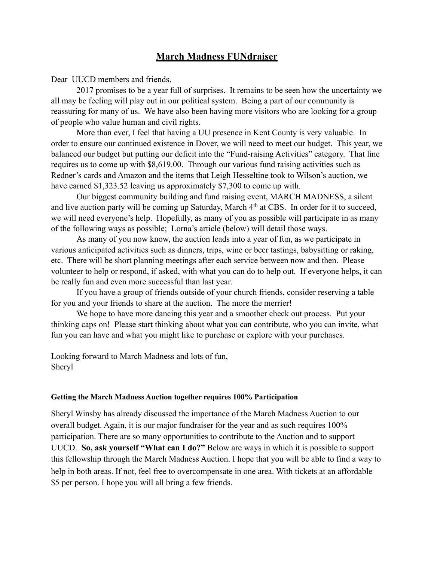## **March Madness FUNdraiser**

Dear UUCD members and friends,

2017 promises to be a year full of surprises. It remains to be seen how the uncertainty we all may be feeling will play out in our political system. Being a part of our community is reassuring for many of us. We have also been having more visitors who are looking for a group of people who value human and civil rights.

 More than ever, I feel that having a UU presence in Kent County is very valuable. In order to ensure our continued existence in Dover, we will need to meet our budget. This year, we balanced our budget but putting our deficit into the "Fund-raising Activities" category. That line requires us to come up with \$8,619.00. Through our various fund raising activities such as Redner's cards and Amazon and the items that Leigh Hesseltine took to Wilson's auction, we have earned \$1,323.52 leaving us approximately \$7,300 to come up with.

 Our biggest community building and fund raising event, MARCH MADNESS, a silent and live auction party will be coming up Saturday, March 4<sup>th</sup> at CBS. In order for it to succeed, we will need everyone's help. Hopefully, as many of you as possible will participate in as many of the following ways as possible; Lorna's article (below) will detail those ways.

As many of you now know, the auction leads into a year of fun, as we participate in various anticipated activities such as dinners, trips, wine or beer tastings, babysitting or raking, etc. There will be short planning meetings after each service between now and then. Please volunteer to help or respond, if asked, with what you can do to help out. If everyone helps, it can be really fun and even more successful than last year.

If you have a group of friends outside of your church friends, consider reserving a table for you and your friends to share at the auction. The more the merrier!

We hope to have more dancing this year and a smoother check out process. Put your thinking caps on! Please start thinking about what you can contribute, who you can invite, what fun you can have and what you might like to purchase or explore with your purchases.

Looking forward to March Madness and lots of fun, Sheryl

#### **Getting the March Madness Auction together requires 100% Participation**

Sheryl Winsby has already discussed the importance of the March Madness Auction to our overall budget. Again, it is our major fundraiser for the year and as such requires 100% participation. There are so many opportunities to contribute to the Auction and to support UUCD. **So, ask yourself "What can I do?"** Below are ways in which it is possible to support this fellowship through the March Madness Auction. I hope that you will be able to find a way to help in both areas. If not, feel free to overcompensate in one area. With tickets at an affordable \$5 per person. I hope you will all bring a few friends.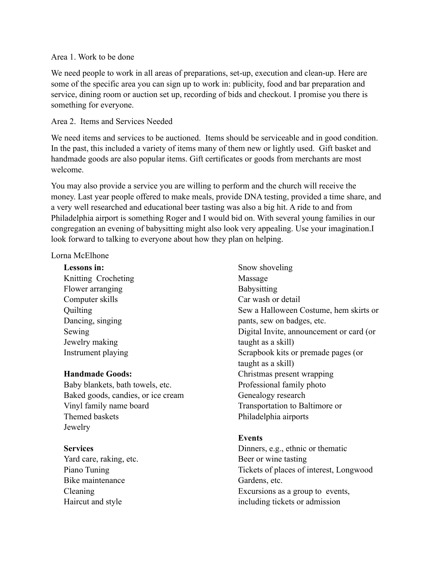#### Area 1. Work to be done

We need people to work in all areas of preparations, set-up, execution and clean-up. Here are some of the specific area you can sign up to work in: publicity, food and bar preparation and service, dining room or auction set up, recording of bids and checkout. I promise you there is something for everyone.

#### Area 2. Items and Services Needed

We need items and services to be auctioned. Items should be serviceable and in good condition. In the past, this included a variety of items many of them new or lightly used. Gift basket and handmade goods are also popular items. Gift certificates or goods from merchants are most welcome.

You may also provide a service you are willing to perform and the church will receive the money. Last year people offered to make meals, provide DNA testing, provided a time share, and a very well researched and educational beer tasting was also a big hit. A ride to and from Philadelphia airport is something Roger and I would bid on. With several young families in our congregation an evening of babysitting might also look very appealing. Use your imagination.I look forward to talking to everyone about how they plan on helping.

#### Lorna McElhone

**Lessons in:**  Knitting Crocheting Flower arranging Computer skills **Quilting** Dancing, singing Sewing Jewelry making Instrument playing

#### **Handmade Goods:**

Baby blankets, bath towels, etc. Baked goods, candies, or ice cream Vinyl family name board Themed baskets **Jewelry** 

#### **Services**

Yard care, raking, etc. Piano Tuning Bike maintenance Cleaning Haircut and style

Snow shoveling Massage **Babysitting** Car wash or detail Sew a Halloween Costume, hem skirts or pants, sew on badges, etc. Digital Invite, announcement or card (or taught as a skill) Scrapbook kits or premade pages (or taught as a skill) Christmas present wrapping Professional family photo Genealogy research Transportation to Baltimore or Philadelphia airports

#### **Events**

Dinners, e.g., ethnic or thematic Beer or wine tasting Tickets of places of interest, Longwood Gardens, etc. Excursions as a group to events, including tickets or admission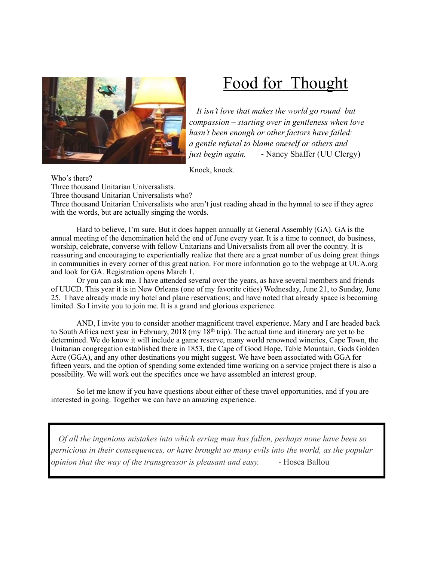

# Food for Thought

 *It isn't love that makes the world go round but compassion – starting over in gentleness when love hasn't been enough or other factors have failed: a gentle refusal to blame oneself or others and just begin again.* - Nancy Shaffer (UU Clergy)

Knock, knock.

Who's there? Three thousand Unitarian Universalists. Three thousand Unitarian Universalists who? Three thousand Unitarian Universalists who aren't just reading ahead in the hymnal to see if they agree with the words, but are actually singing the words.

Hard to believe, I'm sure. But it does happen annually at General Assembly (GA). GA is the annual meeting of the denomination held the end of June every year. It is a time to connect, do business, worship, celebrate, converse with fellow Unitarians and Universalists from all over the country. It is reassuring and encouraging to experientially realize that there are a great number of us doing great things in communities in every corner of this great nation. For more information go to the webpage at UUA.org and look for GA. Registration opens March 1.

Or you can ask me. I have attended several over the years, as have several members and friends of UUCD. This year it is in New Orleans (one of my favorite cities) Wednesday, June 21, to Sunday, June 25. I have already made my hotel and plane reservations; and have noted that already space is becoming limited. So I invite you to join me. It is a grand and glorious experience.

AND, I invite you to consider another magnificent travel experience. Mary and I are headed back to South Africa next year in February, 2018 (my 18<sup>th</sup> trip). The actual time and itinerary are yet to be determined. We do know it will include a game reserve, many world renowned wineries, Cape Town, the Unitarian congregation established there in 1853, the Cape of Good Hope, Table Mountain, Gods Golden Acre (GGA), and any other destinations you might suggest. We have been associated with GGA for fifteen years, and the option of spending some extended time working on a service project there is also a possibility. We will work out the specifics once we have assembled an interest group.

So let me know if you have questions about either of these travel opportunities, and if you are interested in going. Together we can have an amazing experience.

 *Of all the ingenious mistakes into which erring man has fallen, perhaps none have been so pernicious in their consequences, or have brought so many evils into the world, as the popular opinion that the way of the transgressor is pleasant and easy.* - **Hosea Ballou**